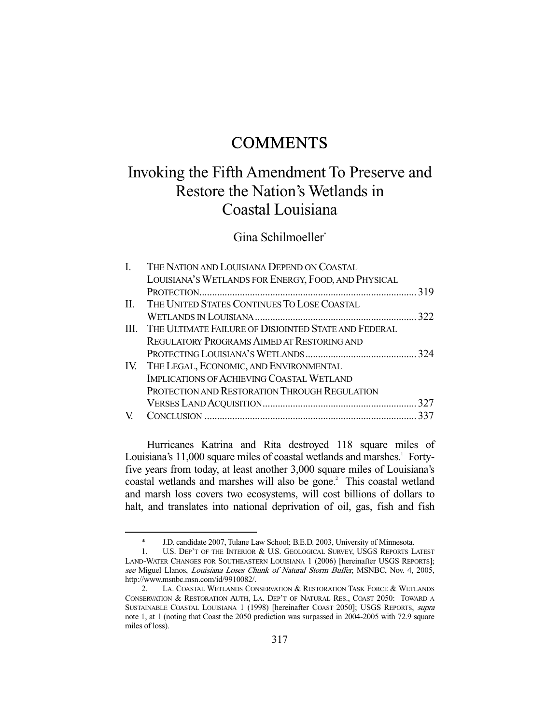# **COMMENTS**

# Invoking the Fifth Amendment To Preserve and Restore the Nation's Wetlands in Coastal Louisiana

## Gina Schilmoeller\*

| I. | THE NATION AND LOUISIANA DEPEND ON COASTAL                |     |
|----|-----------------------------------------------------------|-----|
|    | LOUISIANA'S WETLANDS FOR ENERGY, FOOD, AND PHYSICAL       |     |
|    |                                                           |     |
|    | II. THE UNITED STATES CONTINUES TO LOSE COASTAL           |     |
|    |                                                           | 322 |
|    | III. THE ULTIMATE FAILURE OF DISJOINTED STATE AND FEDERAL |     |
|    | <b>REGULATORY PROGRAMS AIMED AT RESTORING AND</b>         |     |
|    |                                                           |     |
|    | IV. THE LEGAL, ECONOMIC, AND ENVIRONMENTAL                |     |
|    | <b>IMPLICATIONS OF ACHIEVING COASTAL WETLAND</b>          |     |
|    | PROTECTION AND RESTORATION THROUGH REGULATION             |     |
|    |                                                           |     |
|    |                                                           |     |
|    |                                                           |     |

 Hurricanes Katrina and Rita destroyed 118 square miles of Louisiana's 11,000 square miles of coastal wetlands and marshes.<sup>1</sup> Fortyfive years from today, at least another 3,000 square miles of Louisiana's coastal wetlands and marshes will also be gone.<sup>2</sup> This coastal wetland and marsh loss covers two ecosystems, will cost billions of dollars to halt, and translates into national deprivation of oil, gas, fish and fish

 <sup>\*</sup> J.D. candidate 2007, Tulane Law School; B.E.D. 2003, University of Minnesota.

 <sup>1.</sup> U.S. DEP'T OF THE INTERIOR & U.S. GEOLOGICAL SURVEY, USGS REPORTS LATEST LAND-WATER CHANGES FOR SOUTHEASTERN LOUISIANA 1 (2006) [hereinafter USGS REPORTS]; see Miguel Llanos, Louisiana Loses Chunk of Natural Storm Buffer, MSNBC, Nov. 4, 2005, http://www.msnbc.msn.com/id/9910082/.

 <sup>2.</sup> LA. COASTAL WETLANDS CONSERVATION & RESTORATION TASK FORCE & WETLANDS CONSERVATION & RESTORATION AUTH, LA. DEP'T OF NATURAL RES., COAST 2050: TOWARD A SUSTAINABLE COASTAL LOUISIANA 1 (1998) [hereinafter COAST 2050]; USGS REPORTS, supra note 1, at 1 (noting that Coast the 2050 prediction was surpassed in 2004-2005 with 72.9 square miles of loss).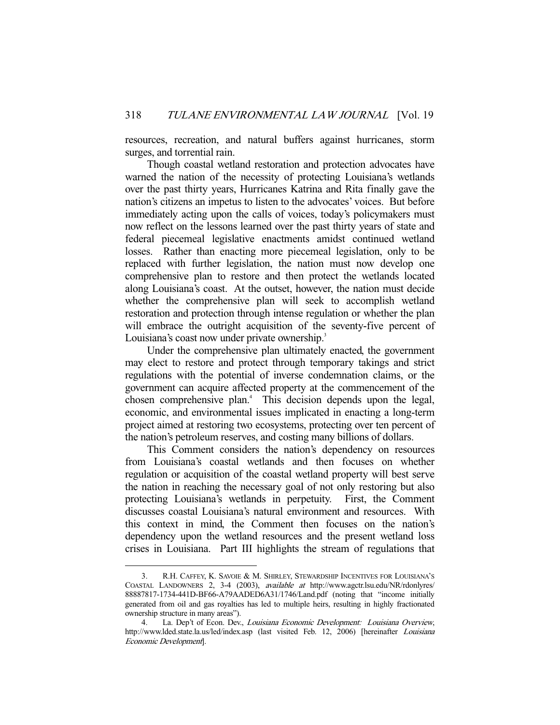resources, recreation, and natural buffers against hurricanes, storm surges, and torrential rain.

 Though coastal wetland restoration and protection advocates have warned the nation of the necessity of protecting Louisiana's wetlands over the past thirty years, Hurricanes Katrina and Rita finally gave the nation's citizens an impetus to listen to the advocates' voices. But before immediately acting upon the calls of voices, today's policymakers must now reflect on the lessons learned over the past thirty years of state and federal piecemeal legislative enactments amidst continued wetland losses. Rather than enacting more piecemeal legislation, only to be replaced with further legislation, the nation must now develop one comprehensive plan to restore and then protect the wetlands located along Louisiana's coast. At the outset, however, the nation must decide whether the comprehensive plan will seek to accomplish wetland restoration and protection through intense regulation or whether the plan will embrace the outright acquisition of the seventy-five percent of Louisiana's coast now under private ownership.<sup>3</sup>

 Under the comprehensive plan ultimately enacted, the government may elect to restore and protect through temporary takings and strict regulations with the potential of inverse condemnation claims, or the government can acquire affected property at the commencement of the chosen comprehensive plan.<sup>4</sup> This decision depends upon the legal, economic, and environmental issues implicated in enacting a long-term project aimed at restoring two ecosystems, protecting over ten percent of the nation's petroleum reserves, and costing many billions of dollars.

 This Comment considers the nation's dependency on resources from Louisiana's coastal wetlands and then focuses on whether regulation or acquisition of the coastal wetland property will best serve the nation in reaching the necessary goal of not only restoring but also protecting Louisiana's wetlands in perpetuity. First, the Comment discusses coastal Louisiana's natural environment and resources. With this context in mind, the Comment then focuses on the nation's dependency upon the wetland resources and the present wetland loss crises in Louisiana. Part III highlights the stream of regulations that

 <sup>3.</sup> R.H. CAFFEY, K. SAVOIE & M. SHIRLEY, STEWARDSHIP INCENTIVES FOR LOUISIANA'S COASTAL LANDOWNERS 2, 3-4 (2003), available at http://www.agctr.lsu.edu/NR/rdonlyres/ 88887817-1734-441D-BF66-A79AADED6A31/1746/Land.pdf (noting that "income initially generated from oil and gas royalties has led to multiple heirs, resulting in highly fractionated ownership structure in many areas").

<sup>4.</sup> La. Dep't of Econ. Dev., Louisiana Economic Development: Louisiana Overview, http://www.lded.state.la.us/led/index.asp (last visited Feb. 12, 2006) [hereinafter *Louisiana* Economic Development].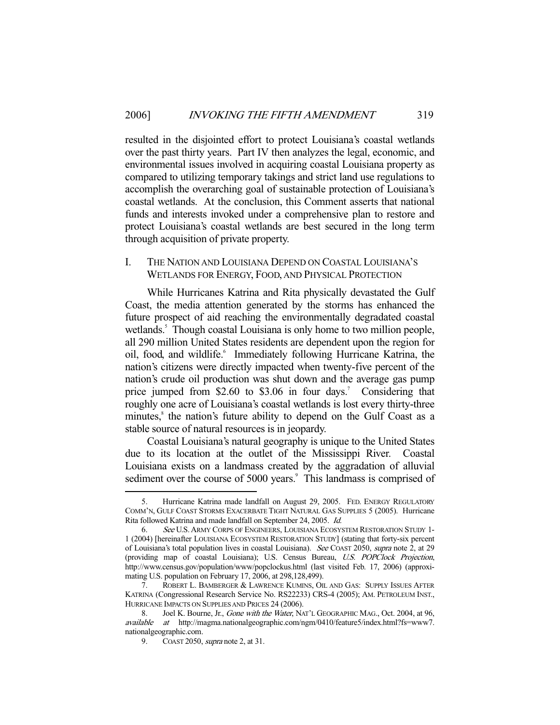resulted in the disjointed effort to protect Louisiana's coastal wetlands over the past thirty years. Part IV then analyzes the legal, economic, and environmental issues involved in acquiring coastal Louisiana property as compared to utilizing temporary takings and strict land use regulations to accomplish the overarching goal of sustainable protection of Louisiana's coastal wetlands. At the conclusion, this Comment asserts that national funds and interests invoked under a comprehensive plan to restore and protect Louisiana's coastal wetlands are best secured in the long term through acquisition of private property.

#### I. THE NATION AND LOUISIANA DEPEND ON COASTAL LOUISIANA'S WETLANDS FOR ENERGY, FOOD, AND PHYSICAL PROTECTION

 While Hurricanes Katrina and Rita physically devastated the Gulf Coast, the media attention generated by the storms has enhanced the future prospect of aid reaching the environmentally degradated coastal wetlands.<sup>5</sup> Though coastal Louisiana is only home to two million people, all 290 million United States residents are dependent upon the region for oil, food, and wildlife.<sup>6</sup> Immediately following Hurricane Katrina, the nation's citizens were directly impacted when twenty-five percent of the nation's crude oil production was shut down and the average gas pump price jumped from  $$2.60$  to  $$3.06$  in four days.<sup>7</sup> Considering that roughly one acre of Louisiana's coastal wetlands is lost every thirty-three minutes,<sup>8</sup> the nation's future ability to depend on the Gulf Coast as a stable source of natural resources is in jeopardy.

 Coastal Louisiana's natural geography is unique to the United States due to its location at the outlet of the Mississippi River. Coastal Louisiana exists on a landmass created by the aggradation of alluvial sediment over the course of 5000 years.<sup>9</sup> This landmass is comprised of

 <sup>5.</sup> Hurricane Katrina made landfall on August 29, 2005. FED. ENERGY REGULATORY COMM'N, GULF COAST STORMS EXACERBATE TIGHT NATURAL GAS SUPPLIES 5 (2005). Hurricane Rita followed Katrina and made landfall on September 24, 2005. Id.

 <sup>6.</sup> See U.S.ARMY CORPS OF ENGINEERS, LOUISIANA ECOSYSTEM RESTORATION STUDY 1- 1 (2004) [hereinafter LOUISIANA ECOSYSTEM RESTORATION STUDY] (stating that forty-six percent of Louisiana's total population lives in coastal Louisiana). See COAST 2050, supra note 2, at 29 (providing map of coastal Louisiana); U.S. Census Bureau, U.S. POPClock Projection, http://www.census.gov/population/www/popclockus.html (last visited Feb. 17, 2006) (approximating U.S. population on February 17, 2006, at 298,128,499).

 <sup>7.</sup> ROBERT L. BAMBERGER & LAWRENCE KUMINS, OIL AND GAS: SUPPLY ISSUES AFTER KATRINA (Congressional Research Service No. RS22233) CRS-4 (2005); AM. PETROLEUM INST., HURRICANE IMPACTS ON SUPPLIES AND PRICES 24 (2006).

<sup>8.</sup> Joel K. Bourne, Jr., Gone with the Water, NAT'L GEOGRAPHIC MAG., Oct. 2004, at 96, available at http://magma.nationalgeographic.com/ngm/0410/feature5/index.html?fs=www7. nationalgeographic.com.

<sup>9.</sup> COAST 2050, *supra* note 2, at 31.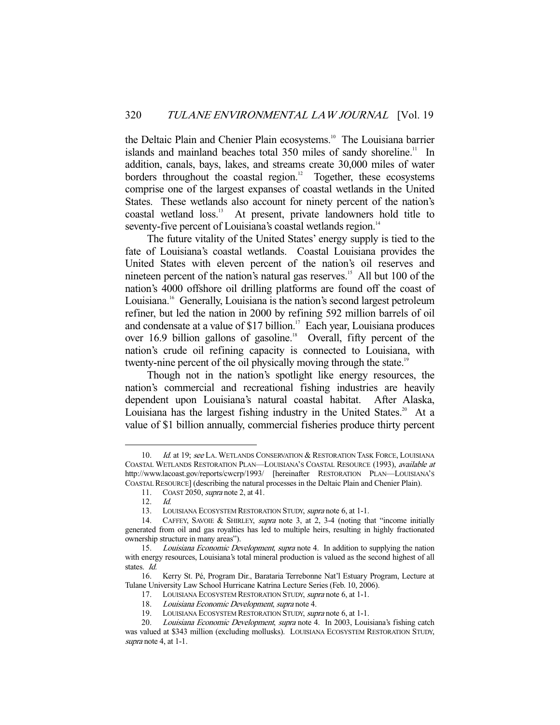the Deltaic Plain and Chenier Plain ecosystems.<sup>10</sup> The Louisiana barrier islands and mainland beaches total 350 miles of sandy shoreline.<sup>11</sup> In addition, canals, bays, lakes, and streams create 30,000 miles of water borders throughout the coastal region.<sup>12</sup> Together, these ecosystems comprise one of the largest expanses of coastal wetlands in the United States. These wetlands also account for ninety percent of the nation's coastal wetland loss.13 At present, private landowners hold title to seventy-five percent of Louisiana's coastal wetlands region.<sup>14</sup>

 The future vitality of the United States' energy supply is tied to the fate of Louisiana's coastal wetlands. Coastal Louisiana provides the United States with eleven percent of the nation's oil reserves and nineteen percent of the nation's natural gas reserves.<sup>15</sup> All but 100 of the nation's 4000 offshore oil drilling platforms are found off the coast of Louisiana.<sup>16</sup> Generally, Louisiana is the nation's second largest petroleum refiner, but led the nation in 2000 by refining 592 million barrels of oil and condensate at a value of \$17 billion.<sup>17</sup> Each year, Louisiana produces over 16.9 billion gallons of gasoline.<sup>18</sup> Overall, fifty percent of the nation's crude oil refining capacity is connected to Louisiana, with twenty-nine percent of the oil physically moving through the state.<sup>19</sup>

 Though not in the nation's spotlight like energy resources, the nation's commercial and recreational fishing industries are heavily dependent upon Louisiana's natural coastal habitat. After Alaska, Louisiana has the largest fishing industry in the United States.<sup>20</sup> At a value of \$1 billion annually, commercial fisheries produce thirty percent

<sup>10.</sup> Id. at 19; see LA. WETLANDS CONSERVATION & RESTORATION TASK FORCE, LOUISIANA COASTAL WETLANDS RESTORATION PLAN—LOUISIANA'S COASTAL RESOURCE (1993), available at http://www.lacoast.gov/reports/cwcrp/1993/ [hereinafter RESTORATION PLAN—LOUISIANA'S COASTAL RESOURCE] (describing the natural processes in the Deltaic Plain and Chenier Plain).

 <sup>11.</sup> COAST 2050, supra note 2, at 41. 12. Id.

<sup>13.</sup> LOUISIANA ECOSYSTEM RESTORATION STUDY, supra note 6, at 1-1.

<sup>14.</sup> CAFFEY, SAVOIE & SHIRLEY, supra note 3, at 2, 3-4 (noting that "income initially generated from oil and gas royalties has led to multiple heirs, resulting in highly fractionated ownership structure in many areas").

<sup>15.</sup> Louisiana Economic Development, supra note 4. In addition to supplying the nation with energy resources, Louisiana's total mineral production is valued as the second highest of all states. Id.

 <sup>16.</sup> Kerry St. Pé, Program Dir., Barataria Terrebonne Nat'l Estuary Program, Lecture at Tulane University Law School Hurricane Katrina Lecture Series (Feb. 10, 2006).

<sup>17.</sup> LOUISIANA ECOSYSTEM RESTORATION STUDY, supra note 6, at 1-1.

 <sup>18.</sup> Louisiana Economic Development, supra note 4.

<sup>19.</sup> LOUISIANA ECOSYSTEM RESTORATION STUDY, supra note 6, at 1-1.

 <sup>20.</sup> Louisiana Economic Development, supra note 4. In 2003, Louisiana's fishing catch was valued at \$343 million (excluding mollusks). LOUISIANA ECOSYSTEM RESTORATION STUDY, supra note 4, at 1-1.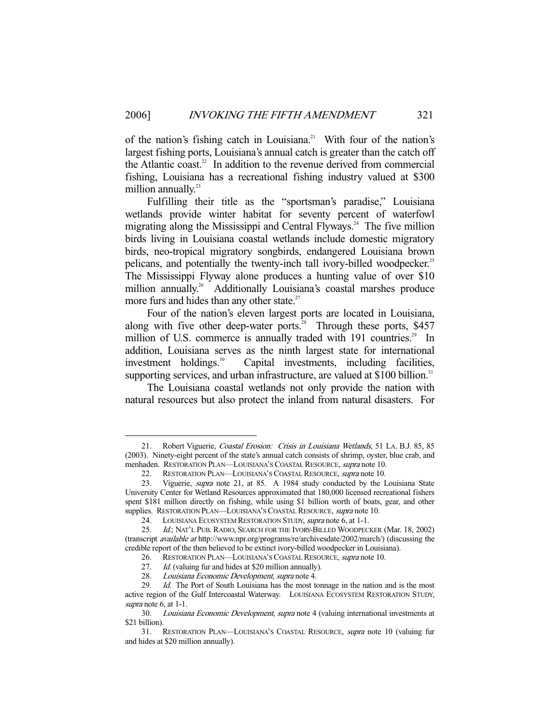of the nation's fishing catch in Louisiana.<sup>21</sup> With four of the nation's largest fishing ports, Louisiana's annual catch is greater than the catch off the Atlantic coast.<sup>22</sup> In addition to the revenue derived from commercial fishing, Louisiana has a recreational fishing industry valued at \$300 million annually. $23$ 

 Fulfilling their title as the "sportsman's paradise," Louisiana wetlands provide winter habitat for seventy percent of waterfowl migrating along the Mississippi and Central Flyways.<sup>24</sup> The five million birds living in Louisiana coastal wetlands include domestic migratory birds, neo-tropical migratory songbirds, endangered Louisiana brown pelicans, and potentially the twenty-inch tall ivory-billed woodpecker.<sup>25</sup> The Mississippi Flyway alone produces a hunting value of over \$10 million annually.<sup>26</sup> Additionally Louisiana's coastal marshes produce more furs and hides than any other state. $27$ 

 Four of the nation's eleven largest ports are located in Louisiana, along with five other deep-water ports. $28$  Through these ports, \$457 million of U.S. commerce is annually traded with 191 countries.<sup>29</sup> In addition, Louisiana serves as the ninth largest state for international investment holdings.<sup>30</sup> Capital investments, including facilities, supporting services, and urban infrastructure, are valued at  $$100$  billion.<sup>31</sup>

 The Louisiana coastal wetlands not only provide the nation with natural resources but also protect the inland from natural disasters. For

<sup>21.</sup> Robert Viguerie, Coastal Erosion: Crisis in Louisiana Wetlands, 51 LA. B.J. 85, 85 (2003). Ninety-eight percent of the state's annual catch consists of shrimp, oyster, blue crab, and menhaden. RESTORATION PLAN—LOUISIANA'S COASTAL RESOURCE, supra note 10.

<sup>22.</sup> RESTORATION PLAN—LOUISIANA'S COASTAL RESOURCE, supra note 10.

 <sup>23.</sup> Viguerie, supra note 21, at 85. A 1984 study conducted by the Louisiana State University Center for Wetland Resources approximated that 180,000 licensed recreational fishers spent \$181 million directly on fishing, while using \$1 billion worth of boats, gear, and other supplies. RESTORATION PLAN-LOUISIANA'S COASTAL RESOURCE, supra note 10.

<sup>24.</sup> LOUISIANA ECOSYSTEM RESTORATION STUDY, supra note 6, at 1-1.

 <sup>25.</sup> Id.; NAT'L PUB. RADIO, SEARCH FOR THE IVORY-BILLED WOODPECKER (Mar. 18, 2002) (transcript available at http://www.npr.org/programs/re/archivesdate/2002/march/) (discussing the credible report of the then believed to be extinct ivory-billed woodpecker in Louisiana).

<sup>26.</sup> RESTORATION PLAN—LOUISIANA'S COASTAL RESOURCE, supra note 10.

<sup>27.</sup> Id. (valuing fur and hides at \$20 million annually).

 <sup>28.</sup> Louisiana Economic Development, supra note 4.

<sup>29.</sup> Id. The Port of South Louisiana has the most tonnage in the nation and is the most active region of the Gulf Intercoastal Waterway. LOUISIANA ECOSYSTEM RESTORATION STUDY, supra note 6, at 1-1.

 <sup>30.</sup> Louisiana Economic Development, supra note 4 (valuing international investments at \$21 billion).

 <sup>31.</sup> RESTORATION PLAN—LOUISIANA'S COASTAL RESOURCE, supra note 10 (valuing fur and hides at \$20 million annually).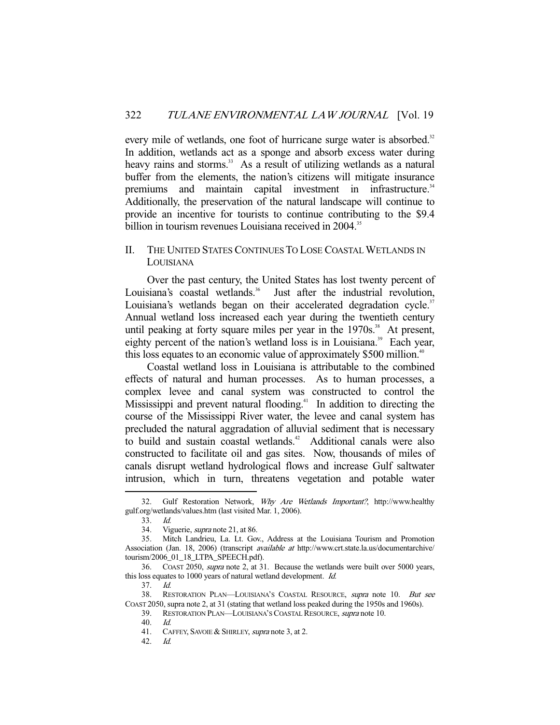every mile of wetlands, one foot of hurricane surge water is absorbed.<sup>32</sup> In addition, wetlands act as a sponge and absorb excess water during heavy rains and storms.<sup>33</sup> As a result of utilizing wetlands as a natural buffer from the elements, the nation's citizens will mitigate insurance premiums and maintain capital investment in infrastructure.<sup>34</sup> Additionally, the preservation of the natural landscape will continue to provide an incentive for tourists to continue contributing to the \$9.4 billion in tourism revenues Louisiana received in 2004.<sup>35</sup>

### II. THE UNITED STATES CONTINUES TO LOSE COASTAL WETLANDS IN LOUISIANA

 Over the past century, the United States has lost twenty percent of Louisiana's coastal wetlands.<sup>36</sup> Just after the industrial revolution, Louisiana's wetlands began on their accelerated degradation cycle.<sup>37</sup> Annual wetland loss increased each year during the twentieth century until peaking at forty square miles per year in the  $1970s$ .<sup>38</sup> At present, eighty percent of the nation's wetland loss is in Louisiana.<sup>39</sup> Each year, this loss equates to an economic value of approximately \$500 million.<sup>40</sup>

 Coastal wetland loss in Louisiana is attributable to the combined effects of natural and human processes. As to human processes, a complex levee and canal system was constructed to control the Mississippi and prevent natural flooding.<sup>41</sup> In addition to directing the course of the Mississippi River water, the levee and canal system has precluded the natural aggradation of alluvial sediment that is necessary to build and sustain coastal wetlands.<sup>42</sup> Additional canals were also constructed to facilitate oil and gas sites. Now, thousands of miles of canals disrupt wetland hydrological flows and increase Gulf saltwater intrusion, which in turn, threatens vegetation and potable water

<sup>32.</sup> Gulf Restoration Network, Why Are Wetlands Important?, http://www.healthy gulf.org/wetlands/values.htm (last visited Mar. 1, 2006).

 <sup>33.</sup> Id.

 <sup>34.</sup> Viguerie, supra note 21, at 86.

 <sup>35.</sup> Mitch Landrieu, La. Lt. Gov., Address at the Louisiana Tourism and Promotion Association (Jan. 18, 2006) (transcript available at http://www.crt.state.la.us/documentarchive/ tourism/2006\_01\_18\_LTPA\_SPEECH.pdf).

 <sup>36.</sup> COAST 2050, supra note 2, at 31. Because the wetlands were built over 5000 years, this loss equates to 1000 years of natural wetland development. Id.

 <sup>37.</sup> Id.

<sup>38.</sup> RESTORATION PLAN—LOUISIANA'S COASTAL RESOURCE, supra note 10. But see COAST 2050, supra note 2, at 31 (stating that wetland loss peaked during the 1950s and 1960s).

 <sup>39.</sup> RESTORATION PLAN—LOUISIANA'S COASTAL RESOURCE, supra note 10.

 <sup>40.</sup> Id.

<sup>41.</sup> CAFFEY, SAVOIE & SHIRLEY, supra note 3, at 2.

 <sup>42.</sup> Id.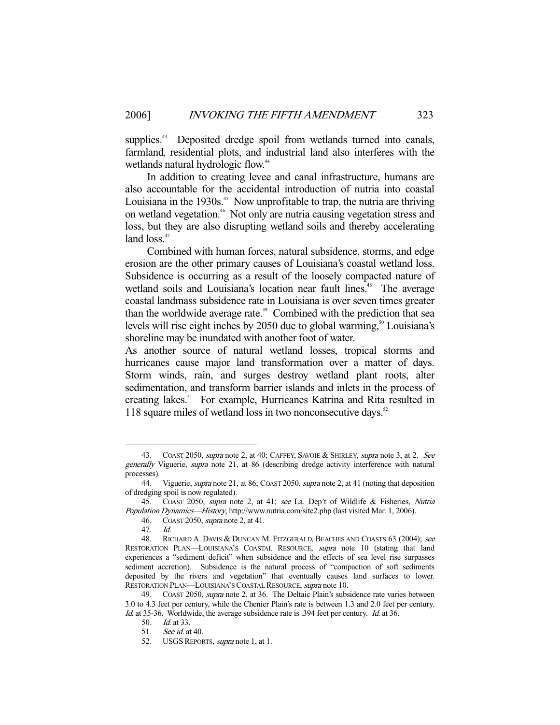supplies.<sup>43</sup> Deposited dredge spoil from wetlands turned into canals, farmland, residential plots, and industrial land also interferes with the wetlands natural hydrologic flow.<sup>44</sup>

 In addition to creating levee and canal infrastructure, humans are also accountable for the accidental introduction of nutria into coastal Louisiana in the  $1930s<sup>45</sup>$ . Now unprofitable to trap, the nutria are thriving on wetland vegetation.46 Not only are nutria causing vegetation stress and loss, but they are also disrupting wetland soils and thereby accelerating land  $loss.<sup>47</sup>$ 

 Combined with human forces, natural subsidence, storms, and edge erosion are the other primary causes of Louisiana's coastal wetland loss. Subsidence is occurring as a result of the loosely compacted nature of wetland soils and Louisiana's location near fault lines.<sup>48</sup> The average coastal landmass subsidence rate in Louisiana is over seven times greater than the worldwide average rate.<sup> $49$ </sup> Combined with the prediction that sea levels will rise eight inches by  $2050$  due to global warming,<sup>50</sup> Louisiana's shoreline may be inundated with another foot of water.

As another source of natural wetland losses, tropical storms and hurricanes cause major land transformation over a matter of days. Storm winds, rain, and surges destroy wetland plant roots, alter sedimentation, and transform barrier islands and inlets in the process of creating lakes.<sup>51</sup> For example, Hurricanes Katrina and Rita resulted in 118 square miles of wetland loss in two nonconsecutive days.<sup>52</sup>

<sup>43.</sup> COAST 2050, *supra* note 2, at 40; CAFFEY, SAVOIE & SHIRLEY, *supra* note 3, at 2. See generally Viguerie, supra note 21, at 86 (describing dredge activity interference with natural processes).

<sup>44.</sup> Viguerie, *supra* note 21, at 86; COAST 2050, *supra* note 2, at 41 (noting that deposition of dredging spoil is now regulated).

 <sup>45.</sup> COAST 2050, supra note 2, at 41; see La. Dep't of Wildlife & Fisheries, Nutria Population Dynamics—History, http://www.nutria.com/site2.php (last visited Mar. 1, 2006).

 <sup>46.</sup> COAST 2050, supra note 2, at 41.

 <sup>47.</sup> Id.

<sup>48.</sup> RICHARD A. DAVIS & DUNCAN M. FITZGERALD, BEACHES AND COASTS 63 (2004); see RESTORATION PLAN—LOUISIANA'S COASTAL RESOURCE, supra note 10 (stating that land experiences a "sediment deficit" when subsidence and the effects of sea level rise surpasses sediment accretion). Subsidence is the natural process of "compaction of soft sediments deposited by the rivers and vegetation" that eventually causes land surfaces to lower. RESTORATION PLAN—LOUISIANA'S COASTAL RESOURCE, supra note 10.

<sup>49.</sup> COAST 2050, *supra* note 2, at 36. The Deltaic Plain's subsidence rate varies between 3.0 to 4.3 feet per century, while the Chenier Plain's rate is between 1.3 and 2.0 feet per century. Id. at 35-36. Worldwide, the average subsidence rate is .394 feet per century. Id. at 36.

 <sup>50.</sup> Id. at 33.

 <sup>51.</sup> See id. at 40.

<sup>52.</sup> USGS REPORTS, supra note 1, at 1.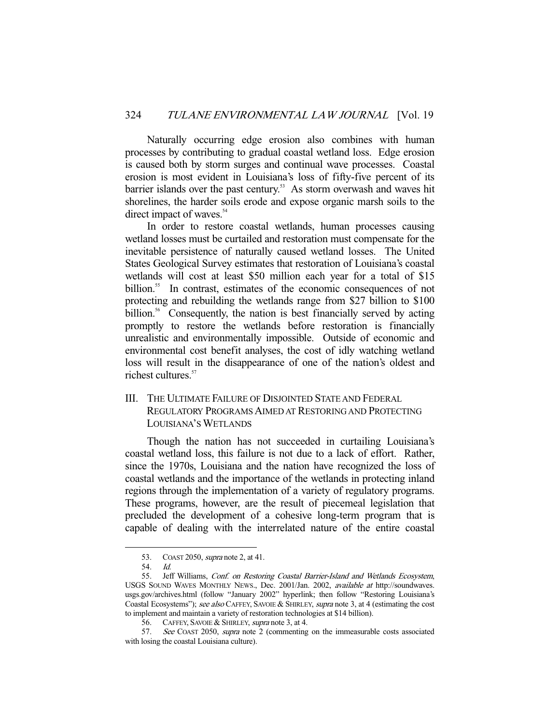Naturally occurring edge erosion also combines with human processes by contributing to gradual coastal wetland loss. Edge erosion is caused both by storm surges and continual wave processes. Coastal erosion is most evident in Louisiana's loss of fifty-five percent of its barrier islands over the past century.<sup>53</sup> As storm overwash and waves hit shorelines, the harder soils erode and expose organic marsh soils to the direct impact of waves.<sup>54</sup>

 In order to restore coastal wetlands, human processes causing wetland losses must be curtailed and restoration must compensate for the inevitable persistence of naturally caused wetland losses. The United States Geological Survey estimates that restoration of Louisiana's coastal wetlands will cost at least \$50 million each year for a total of \$15 billion.<sup>55</sup> In contrast, estimates of the economic consequences of not protecting and rebuilding the wetlands range from \$27 billion to \$100 billion.<sup>56</sup> Consequently, the nation is best financially served by acting promptly to restore the wetlands before restoration is financially unrealistic and environmentally impossible. Outside of economic and environmental cost benefit analyses, the cost of idly watching wetland loss will result in the disappearance of one of the nation's oldest and richest cultures.<sup>57</sup>

### III. THE ULTIMATE FAILURE OF DISJOINTED STATE AND FEDERAL REGULATORY PROGRAMS AIMED AT RESTORING AND PROTECTING LOUISIANA'S WETLANDS

 Though the nation has not succeeded in curtailing Louisiana's coastal wetland loss, this failure is not due to a lack of effort. Rather, since the 1970s, Louisiana and the nation have recognized the loss of coastal wetlands and the importance of the wetlands in protecting inland regions through the implementation of a variety of regulatory programs. These programs, however, are the result of piecemeal legislation that precluded the development of a cohesive long-term program that is capable of dealing with the interrelated nature of the entire coastal

<sup>53.</sup> COAST 2050, *supra* note 2, at 41.

 <sup>54.</sup> Id.

<sup>55.</sup> Jeff Williams, Conf. on Restoring Coastal Barrier-Island and Wetlands Ecosystem, USGS SOUND WAVES MONTHLY NEWS., Dec. 2001/Jan. 2002, available at http://soundwaves. usgs.gov/archives.html (follow "January 2002" hyperlink; then follow "Restoring Louisiana's Coastal Ecosystems"); see also CAFFEY, SAVOIE & SHIRLEY, supra note 3, at 4 (estimating the cost to implement and maintain a variety of restoration technologies at \$14 billion).

<sup>56.</sup> CAFFEY, SAVOIE & SHIRLEY, supra note 3, at 4.

 <sup>57.</sup> See COAST 2050, supra note 2 (commenting on the immeasurable costs associated with losing the coastal Louisiana culture).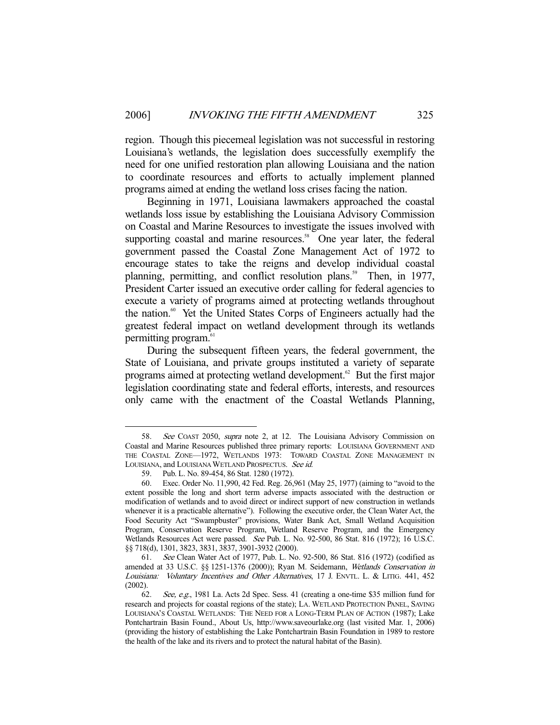region. Though this piecemeal legislation was not successful in restoring Louisiana's wetlands, the legislation does successfully exemplify the need for one unified restoration plan allowing Louisiana and the nation to coordinate resources and efforts to actually implement planned programs aimed at ending the wetland loss crises facing the nation.

 Beginning in 1971, Louisiana lawmakers approached the coastal wetlands loss issue by establishing the Louisiana Advisory Commission on Coastal and Marine Resources to investigate the issues involved with supporting coastal and marine resources. $58$  One year later, the federal government passed the Coastal Zone Management Act of 1972 to encourage states to take the reigns and develop individual coastal planning, permitting, and conflict resolution plans.<sup>59</sup> Then, in 1977, President Carter issued an executive order calling for federal agencies to execute a variety of programs aimed at protecting wetlands throughout the nation.<sup>60</sup> Yet the United States Corps of Engineers actually had the greatest federal impact on wetland development through its wetlands permitting program.<sup>61</sup>

 During the subsequent fifteen years, the federal government, the State of Louisiana, and private groups instituted a variety of separate programs aimed at protecting wetland development.<sup>62</sup> But the first major legislation coordinating state and federal efforts, interests, and resources only came with the enactment of the Coastal Wetlands Planning,

 <sup>58.</sup> See COAST 2050, supra note 2, at 12. The Louisiana Advisory Commission on Coastal and Marine Resources published three primary reports: LOUISIANA GOVERNMENT AND THE COASTAL ZONE—1972, WETLANDS 1973: TOWARD COASTAL ZONE MANAGEMENT IN LOUISIANA, and LOUISIANA WETLAND PROSPECTUS. See id.

 <sup>59.</sup> Pub. L. No. 89-454, 86 Stat. 1280 (1972).

 <sup>60.</sup> Exec. Order No. 11,990, 42 Fed. Reg. 26,961 (May 25, 1977) (aiming to "avoid to the extent possible the long and short term adverse impacts associated with the destruction or modification of wetlands and to avoid direct or indirect support of new construction in wetlands whenever it is a practicable alternative"). Following the executive order, the Clean Water Act, the Food Security Act "Swampbuster" provisions, Water Bank Act, Small Wetland Acquisition Program, Conservation Reserve Program, Wetland Reserve Program, and the Emergency Wetlands Resources Act were passed. See Pub. L. No. 92-500, 86 Stat. 816 (1972); 16 U.S.C. §§ 718(d), 1301, 3823, 3831, 3837, 3901-3932 (2000).

 <sup>61.</sup> See Clean Water Act of 1977, Pub. L. No. 92-500, 86 Stat. 816 (1972) (codified as amended at 33 U.S.C. §§ 1251-1376 (2000)); Ryan M. Seidemann, Wetlands Conservation in Louisiana: Voluntary Incentives and Other Alternatives, 17 J. ENVTL. L. & LITIG. 441, 452 (2002).

 <sup>62.</sup> See, e.g., 1981 La. Acts 2d Spec. Sess. 41 (creating a one-time \$35 million fund for research and projects for coastal regions of the state); LA. WETLAND PROTECTION PANEL, SAVING LOUISIANA'S COASTAL WETLANDS: THE NEED FOR A LONG-TERM PLAN OF ACTION (1987); Lake Pontchartrain Basin Found., About Us, http://www.saveourlake.org (last visited Mar. 1, 2006) (providing the history of establishing the Lake Pontchartrain Basin Foundation in 1989 to restore the health of the lake and its rivers and to protect the natural habitat of the Basin).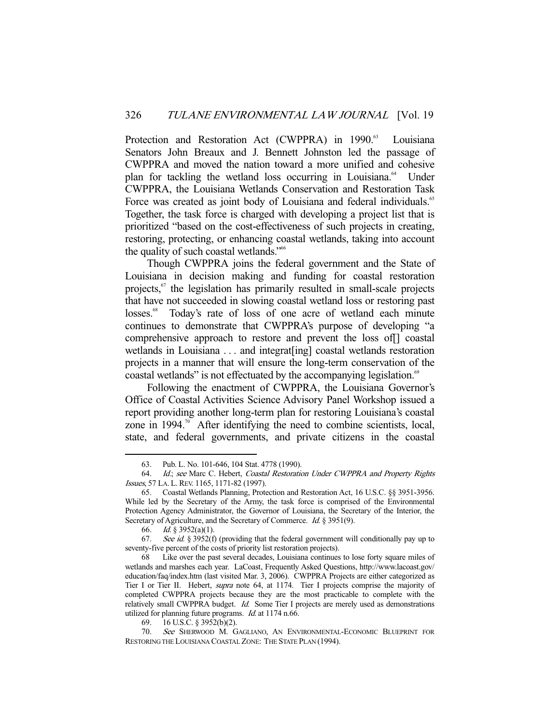Protection and Restoration Act (CWPPRA) in 1990.<sup>63</sup> Louisiana Senators John Breaux and J. Bennett Johnston led the passage of CWPPRA and moved the nation toward a more unified and cohesive plan for tackling the wetland loss occurring in Louisiana.<sup>64</sup> Under CWPPRA, the Louisiana Wetlands Conservation and Restoration Task Force was created as joint body of Louisiana and federal individuals.<sup>65</sup> Together, the task force is charged with developing a project list that is prioritized "based on the cost-effectiveness of such projects in creating, restoring, protecting, or enhancing coastal wetlands, taking into account the quality of such coastal wetlands."<sup>66</sup>

 Though CWPPRA joins the federal government and the State of Louisiana in decision making and funding for coastal restoration projects,<sup>67</sup> the legislation has primarily resulted in small-scale projects that have not succeeded in slowing coastal wetland loss or restoring past losses.<sup>68</sup> Today's rate of loss of one acre of wetland each minute continues to demonstrate that CWPPRA's purpose of developing "a comprehensive approach to restore and prevent the loss of coastal wetlands in Louisiana . . . and integrat [ing] coastal wetlands restoration projects in a manner that will ensure the long-term conservation of the coastal wetlands" is not effectuated by the accompanying legislation.<sup>69</sup>

 Following the enactment of CWPPRA, the Louisiana Governor's Office of Coastal Activities Science Advisory Panel Workshop issued a report providing another long-term plan for restoring Louisiana's coastal zone in 1994. $\degree$  After identifying the need to combine scientists, local, state, and federal governments, and private citizens in the coastal

 <sup>63.</sup> Pub. L. No. 101-646, 104 Stat. 4778 (1990).

 <sup>64.</sup> Id.; see Marc C. Hebert, Coastal Restoration Under CWPPRA and Property Rights Issues, 57 LA. L. REV. 1165, 1171-82 (1997).

 <sup>65.</sup> Coastal Wetlands Planning, Protection and Restoration Act, 16 U.S.C. §§ 3951-3956. While led by the Secretary of the Army, the task force is comprised of the Environmental Protection Agency Administrator, the Governor of Louisiana, the Secretary of the Interior, the Secretary of Agriculture, and the Secretary of Commerce. *Id.* § 3951(9).

<sup>66.</sup> *Id.*  $\&$  3952(a)(1).

<sup>67.</sup> See id. § 3952(f) (providing that the federal government will conditionally pay up to seventy-five percent of the costs of priority list restoration projects).

 <sup>68</sup> Like over the past several decades, Louisiana continues to lose forty square miles of wetlands and marshes each year. LaCoast, Frequently Asked Questions, http://www.lacoast.gov/ education/faq/index.htm (last visited Mar. 3, 2006). CWPPRA Projects are either categorized as Tier I or Tier II. Hebert, supra note 64, at 1174. Tier I projects comprise the majority of completed CWPPRA projects because they are the most practicable to complete with the relatively small CWPPRA budget. *Id.* Some Tier I projects are merely used as demonstrations utilized for planning future programs. Id. at 1174 n.66.

 <sup>69. 16</sup> U.S.C. § 3952(b)(2).

 <sup>70.</sup> See SHERWOOD M. GAGLIANO, AN ENVIRONMENTAL-ECONOMIC BLUEPRINT FOR RESTORING THE LOUISIANA COASTAL ZONE: THE STATE PLAN (1994).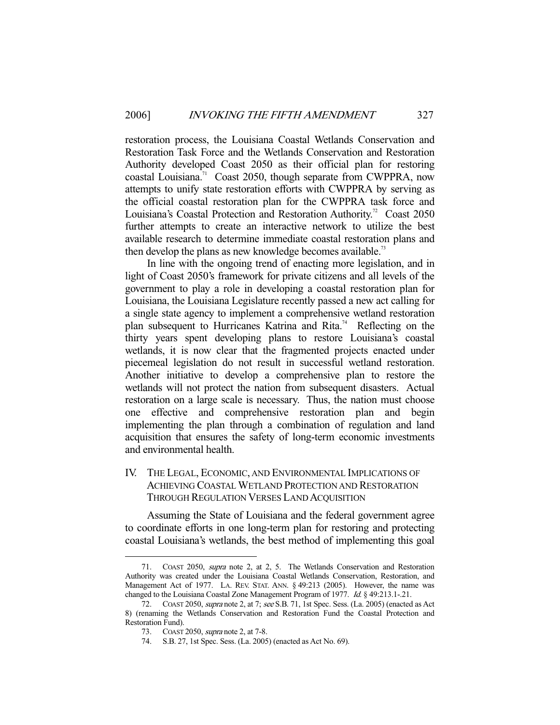restoration process, the Louisiana Coastal Wetlands Conservation and Restoration Task Force and the Wetlands Conservation and Restoration Authority developed Coast 2050 as their official plan for restoring coastal Louisiana.<sup>71</sup> Coast 2050, though separate from CWPPRA, now attempts to unify state restoration efforts with CWPPRA by serving as the official coastal restoration plan for the CWPPRA task force and Louisiana's Coastal Protection and Restoration Authority.<sup>72</sup> Coast 2050 further attempts to create an interactive network to utilize the best available research to determine immediate coastal restoration plans and then develop the plans as new knowledge becomes available.<sup>73</sup>

 In line with the ongoing trend of enacting more legislation, and in light of Coast 2050's framework for private citizens and all levels of the government to play a role in developing a coastal restoration plan for Louisiana, the Louisiana Legislature recently passed a new act calling for a single state agency to implement a comprehensive wetland restoration plan subsequent to Hurricanes Katrina and Rita.<sup>74</sup> Reflecting on the thirty years spent developing plans to restore Louisiana's coastal wetlands, it is now clear that the fragmented projects enacted under piecemeal legislation do not result in successful wetland restoration. Another initiative to develop a comprehensive plan to restore the wetlands will not protect the nation from subsequent disasters. Actual restoration on a large scale is necessary. Thus, the nation must choose one effective and comprehensive restoration plan and begin implementing the plan through a combination of regulation and land acquisition that ensures the safety of long-term economic investments and environmental health.

## IV. THE LEGAL, ECONOMIC, AND ENVIRONMENTAL IMPLICATIONS OF ACHIEVING COASTAL WETLAND PROTECTION AND RESTORATION THROUGH REGULATION VERSES LAND ACQUISITION

 Assuming the State of Louisiana and the federal government agree to coordinate efforts in one long-term plan for restoring and protecting coastal Louisiana's wetlands, the best method of implementing this goal

 <sup>71.</sup> COAST 2050, supra note 2, at 2, 5. The Wetlands Conservation and Restoration Authority was created under the Louisiana Coastal Wetlands Conservation, Restoration, and Management Act of 1977. LA. REV. STAT. ANN. § 49:213 (2005). However, the name was changed to the Louisiana Coastal Zone Management Program of 1977. Id. § 49:213.1-.21.

<sup>72.</sup> COAST 2050, *supra* note 2, at 7; see S.B. 71, 1st Spec. Sess. (La. 2005) (enacted as Act 8) (renaming the Wetlands Conservation and Restoration Fund the Coastal Protection and Restoration Fund).

 <sup>73.</sup> COAST 2050, supra note 2, at 7-8.

 <sup>74.</sup> S.B. 27, 1st Spec. Sess. (La. 2005) (enacted as Act No. 69).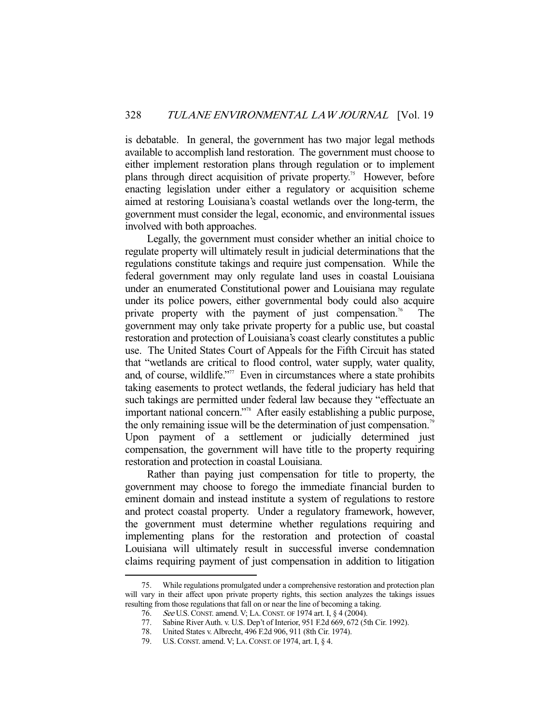is debatable. In general, the government has two major legal methods available to accomplish land restoration. The government must choose to either implement restoration plans through regulation or to implement plans through direct acquisition of private property.<sup>75</sup> However, before enacting legislation under either a regulatory or acquisition scheme aimed at restoring Louisiana's coastal wetlands over the long-term, the government must consider the legal, economic, and environmental issues involved with both approaches.

 Legally, the government must consider whether an initial choice to regulate property will ultimately result in judicial determinations that the regulations constitute takings and require just compensation. While the federal government may only regulate land uses in coastal Louisiana under an enumerated Constitutional power and Louisiana may regulate under its police powers, either governmental body could also acquire private property with the payment of just compensation.<sup>76</sup> The government may only take private property for a public use, but coastal restoration and protection of Louisiana's coast clearly constitutes a public use. The United States Court of Appeals for the Fifth Circuit has stated that "wetlands are critical to flood control, water supply, water quality, and, of course, wildlife."<sup>77</sup> Even in circumstances where a state prohibits taking easements to protect wetlands, the federal judiciary has held that such takings are permitted under federal law because they "effectuate an important national concern."78 After easily establishing a public purpose, the only remaining issue will be the determination of just compensation.<sup>79</sup> Upon payment of a settlement or judicially determined just compensation, the government will have title to the property requiring restoration and protection in coastal Louisiana.

 Rather than paying just compensation for title to property, the government may choose to forego the immediate financial burden to eminent domain and instead institute a system of regulations to restore and protect coastal property. Under a regulatory framework, however, the government must determine whether regulations requiring and implementing plans for the restoration and protection of coastal Louisiana will ultimately result in successful inverse condemnation claims requiring payment of just compensation in addition to litigation

 <sup>75.</sup> While regulations promulgated under a comprehensive restoration and protection plan will vary in their affect upon private property rights, this section analyzes the takings issues resulting from those regulations that fall on or near the line of becoming a taking.

<sup>76.</sup> See U.S. CONST. amend. V; LA. CONST. OF 1974 art. I, § 4 (2004).<br>77. Sabine River Auth. v. U.S. Dep't of Interior, 951 F.2d 669, 672 (51

Sabine River Auth. v. U.S. Dep't of Interior, 951 F.2d 669, 672 (5th Cir. 1992).

 <sup>78.</sup> United States v. Albrecht, 496 F.2d 906, 911 (8th Cir. 1974).

 <sup>79.</sup> U.S.CONST. amend. V; LA.CONST. OF 1974, art. I, § 4.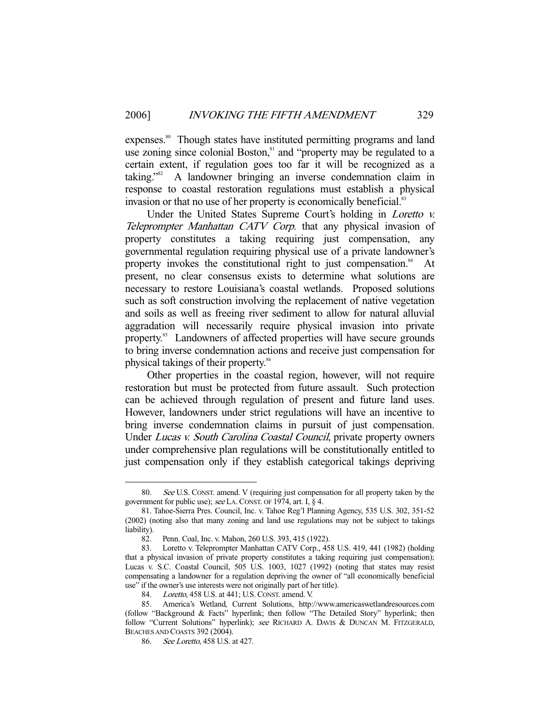expenses.<sup>80</sup> Though states have instituted permitting programs and land use zoning since colonial Boston,<sup>81</sup> and "property may be regulated to a certain extent, if regulation goes too far it will be recognized as a taking."82 A landowner bringing an inverse condemnation claim in response to coastal restoration regulations must establish a physical invasion or that no use of her property is economically beneficial.<sup>83</sup>

Under the United States Supreme Court's holding in *Loretto v.* Teleprompter Manhattan CATV Corp. that any physical invasion of property constitutes a taking requiring just compensation, any governmental regulation requiring physical use of a private landowner's property invokes the constitutional right to just compensation.<sup>84</sup> At present, no clear consensus exists to determine what solutions are necessary to restore Louisiana's coastal wetlands. Proposed solutions such as soft construction involving the replacement of native vegetation and soils as well as freeing river sediment to allow for natural alluvial aggradation will necessarily require physical invasion into private property.<sup>85</sup> Landowners of affected properties will have secure grounds to bring inverse condemnation actions and receive just compensation for physical takings of their property.<sup>86</sup>

 Other properties in the coastal region, however, will not require restoration but must be protected from future assault. Such protection can be achieved through regulation of present and future land uses. However, landowners under strict regulations will have an incentive to bring inverse condemnation claims in pursuit of just compensation. Under Lucas v. South Carolina Coastal Council, private property owners under comprehensive plan regulations will be constitutionally entitled to just compensation only if they establish categorical takings depriving

 <sup>80.</sup> See U.S. CONST. amend. V (requiring just compensation for all property taken by the government for public use); see LA. CONST. OF 1974, art. I, § 4.

 <sup>81.</sup> Tahoe-Sierra Pres. Council, Inc. v. Tahoe Reg'l Planning Agency, 535 U.S. 302, 351-52 (2002) (noting also that many zoning and land use regulations may not be subject to takings liability).

 <sup>82.</sup> Penn. Coal, Inc. v. Mahon, 260 U.S. 393, 415 (1922).

 <sup>83.</sup> Loretto v. Teleprompter Manhattan CATV Corp., 458 U.S. 419, 441 (1982) (holding that a physical invasion of private property constitutes a taking requiring just compensation); Lucas v. S.C. Coastal Council, 505 U.S. 1003, 1027 (1992) (noting that states may resist compensating a landowner for a regulation depriving the owner of "all economically beneficial use" if the owner's use interests were not originally part of her title).

<sup>84.</sup> Loretto, 458 U.S. at 441; U.S. CONST. amend. V.

 <sup>85.</sup> America's Wetland, Current Solutions, http://www.americaswetlandresources.com (follow "Background & Facts" hyperlink; then follow "The Detailed Story" hyperlink; then follow "Current Solutions" hyperlink); see RICHARD A. DAVIS & DUNCAN M. FITZGERALD, BEACHES AND COASTS 392 (2004).

 <sup>86.</sup> See Loretto, 458 U.S. at 427.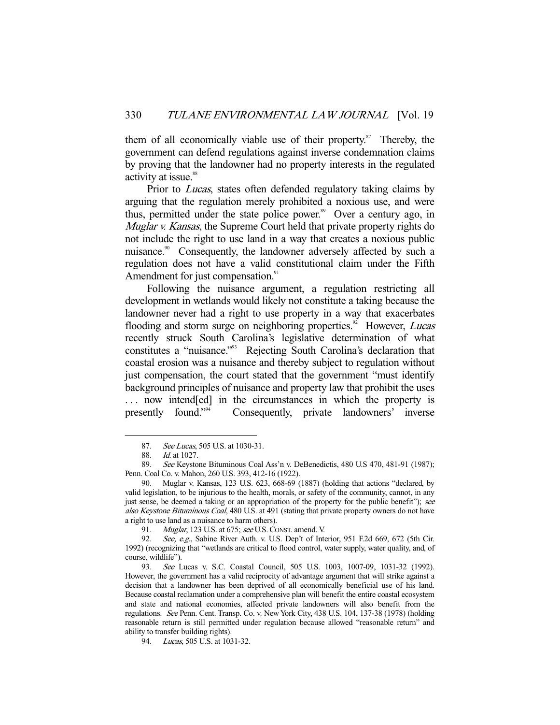them of all economically viable use of their property.<sup>87</sup> Thereby, the government can defend regulations against inverse condemnation claims by proving that the landowner had no property interests in the regulated activity at issue.<sup>88</sup>

Prior to *Lucas*, states often defended regulatory taking claims by arguing that the regulation merely prohibited a noxious use, and were thus, permitted under the state police power.<sup>89</sup> Over a century ago, in Muglar v. Kansas, the Supreme Court held that private property rights do not include the right to use land in a way that creates a noxious public nuisance.<sup>90</sup> Consequently, the landowner adversely affected by such a regulation does not have a valid constitutional claim under the Fifth Amendment for just compensation.<sup>91</sup>

 Following the nuisance argument, a regulation restricting all development in wetlands would likely not constitute a taking because the landowner never had a right to use property in a way that exacerbates flooding and storm surge on neighboring properties.<sup>92</sup> However, *Lucas* recently struck South Carolina's legislative determination of what constitutes a "nuisance."93 Rejecting South Carolina's declaration that coastal erosion was a nuisance and thereby subject to regulation without just compensation, the court stated that the government "must identify background principles of nuisance and property law that prohibit the uses ... now intend [ed] in the circumstances in which the property is presently found."94 Consequently, private landowners' inverse

<sup>87.</sup> See Lucas, 505 U.S. at 1030-31.

 <sup>88.</sup> Id. at 1027.

 <sup>89.</sup> See Keystone Bituminous Coal Ass'n v. DeBenedictis, 480 U.S 470, 481-91 (1987); Penn. Coal Co. v. Mahon, 260 U.S. 393, 412-16 (1922).

 <sup>90.</sup> Muglar v. Kansas, 123 U.S. 623, 668-69 (1887) (holding that actions "declared, by valid legislation, to be injurious to the health, morals, or safety of the community, cannot, in any just sense, be deemed a taking or an appropriation of the property for the public benefit"); see also Keystone Bituminous Coal, 480 U.S. at 491 (stating that private property owners do not have a right to use land as a nuisance to harm others).

<sup>91.</sup> *Muglar*, 123 U.S. at 675; see U.S. CONST. amend. V.

<sup>92.</sup> See, e.g., Sabine River Auth. v. U.S. Dep't of Interior, 951 F.2d 669, 672 (5th Cir. 1992) (recognizing that "wetlands are critical to flood control, water supply, water quality, and, of course, wildlife").<br>93. See L

See Lucas v. S.C. Coastal Council, 505 U.S. 1003, 1007-09, 1031-32 (1992). However, the government has a valid reciprocity of advantage argument that will strike against a decision that a landowner has been deprived of all economically beneficial use of his land. Because coastal reclamation under a comprehensive plan will benefit the entire coastal ecosystem and state and national economies, affected private landowners will also benefit from the regulations. See Penn. Cent. Transp. Co. v. New York City, 438 U.S. 104, 137-38 (1978) (holding reasonable return is still permitted under regulation because allowed "reasonable return" and ability to transfer building rights).

<sup>94.</sup> Lucas, 505 U.S. at 1031-32.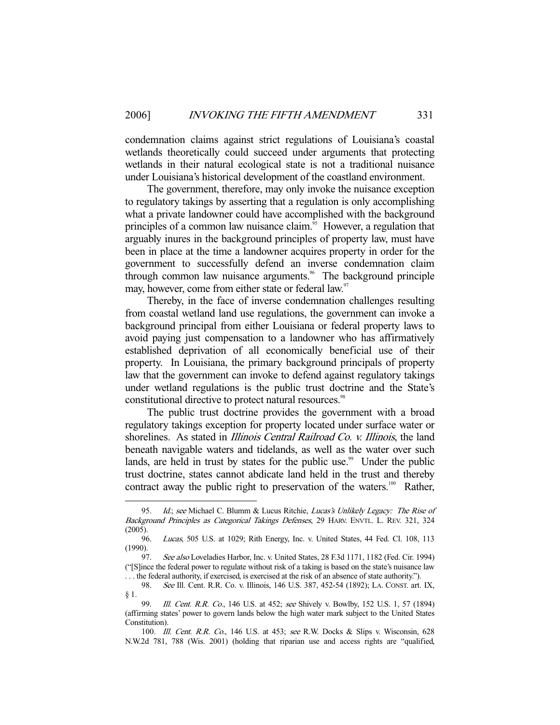condemnation claims against strict regulations of Louisiana's coastal wetlands theoretically could succeed under arguments that protecting wetlands in their natural ecological state is not a traditional nuisance under Louisiana's historical development of the coastland environment.

 The government, therefore, may only invoke the nuisance exception to regulatory takings by asserting that a regulation is only accomplishing what a private landowner could have accomplished with the background principles of a common law nuisance claim.<sup>95</sup> However, a regulation that arguably inures in the background principles of property law, must have been in place at the time a landowner acquires property in order for the government to successfully defend an inverse condemnation claim through common law nuisance arguments.<sup>96</sup> The background principle may, however, come from either state or federal law.<sup>97</sup>

 Thereby, in the face of inverse condemnation challenges resulting from coastal wetland land use regulations, the government can invoke a background principal from either Louisiana or federal property laws to avoid paying just compensation to a landowner who has affirmatively established deprivation of all economically beneficial use of their property. In Louisiana, the primary background principals of property law that the government can invoke to defend against regulatory takings under wetland regulations is the public trust doctrine and the State's constitutional directive to protect natural resources.<sup>98</sup>

 The public trust doctrine provides the government with a broad regulatory takings exception for property located under surface water or shorelines. As stated in *Illinois Central Railroad Co. v. Illinois*, the land beneath navigable waters and tidelands, as well as the water over such lands, are held in trust by states for the public use.<sup>99</sup> Under the public trust doctrine, states cannot abdicate land held in the trust and thereby contract away the public right to preservation of the waters.<sup>100</sup> Rather,

<sup>95.</sup> Id.; see Michael C. Blumm & Lucus Ritchie, Lucas's Unlikely Legacy: The Rise of Background Principles as Categorical Takings Defenses, 29 HARV. ENVTL. L. REV. 321, 324 (2005).

 <sup>96.</sup> Lucas, 505 U.S. at 1029; Rith Energy, Inc. v. United States, 44 Fed. Cl. 108, 113 (1990).

<sup>97.</sup> See also Loveladies Harbor, Inc. v. United States, 28 F.3d 1171, 1182 (Fed. Cir. 1994) ("[S]ince the federal power to regulate without risk of a taking is based on the state's nuisance law . . . the federal authority, if exercised, is exercised at the risk of an absence of state authority.").

 <sup>98.</sup> See Ill. Cent. R.R. Co. v. Illinois, 146 U.S. 387, 452-54 (1892); LA. CONST. art. IX, § 1.

<sup>99.</sup> *Ill. Cent. R.R. Co.*, 146 U.S. at 452; see Shively v. Bowlby, 152 U.S. 1, 57 (1894) (affirming states' power to govern lands below the high water mark subject to the United States Constitution).

 <sup>100.</sup> Ill. Cent. R.R. Co., 146 U.S. at 453; see R.W. Docks & Slips v. Wisconsin, 628 N.W.2d 781, 788 (Wis. 2001) (holding that riparian use and access rights are "qualified,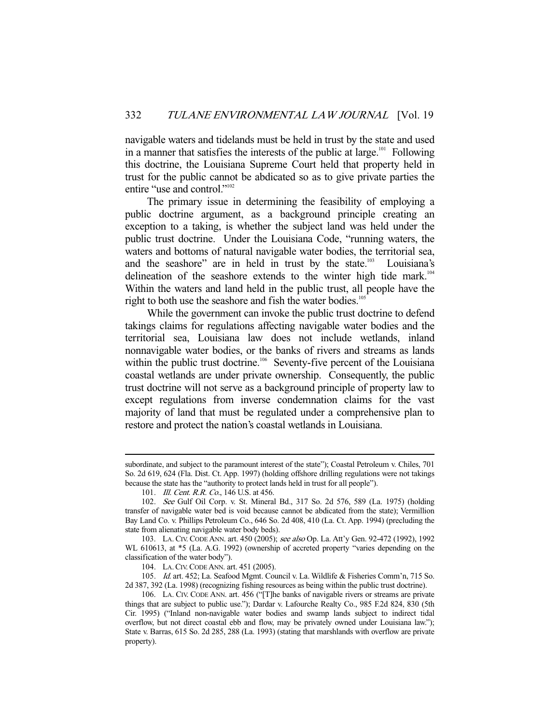navigable waters and tidelands must be held in trust by the state and used in a manner that satisfies the interests of the public at large.<sup>101</sup> Following this doctrine, the Louisiana Supreme Court held that property held in trust for the public cannot be abdicated so as to give private parties the entire "use and control."<sup>102</sup>

 The primary issue in determining the feasibility of employing a public doctrine argument, as a background principle creating an exception to a taking, is whether the subject land was held under the public trust doctrine. Under the Louisiana Code, "running waters, the waters and bottoms of natural navigable water bodies, the territorial sea, and the seashore" are in held in trust by the state.<sup>103</sup> Louisiana's delineation of the seashore extends to the winter high tide mark.<sup>104</sup> Within the waters and land held in the public trust, all people have the right to both use the seashore and fish the water bodies.<sup>105</sup>

 While the government can invoke the public trust doctrine to defend takings claims for regulations affecting navigable water bodies and the territorial sea, Louisiana law does not include wetlands, inland nonnavigable water bodies, or the banks of rivers and streams as lands within the public trust doctrine.<sup>106</sup> Seventy-five percent of the Louisiana coastal wetlands are under private ownership. Consequently, the public trust doctrine will not serve as a background principle of property law to except regulations from inverse condemnation claims for the vast majority of land that must be regulated under a comprehensive plan to restore and protect the nation's coastal wetlands in Louisiana.

subordinate, and subject to the paramount interest of the state"); Coastal Petroleum v. Chiles, 701 So. 2d 619, 624 (Fla. Dist. Ct. App. 1997) (holding offshore drilling regulations were not takings because the state has the "authority to protect lands held in trust for all people").

<sup>101.</sup> *Ill. Cent. R.R. Co.*, 146 U.S. at 456.

 <sup>102.</sup> See Gulf Oil Corp. v. St. Mineral Bd., 317 So. 2d 576, 589 (La. 1975) (holding transfer of navigable water bed is void because cannot be abdicated from the state); Vermillion Bay Land Co. v. Phillips Petroleum Co., 646 So. 2d 408, 410 (La. Ct. App. 1994) (precluding the state from alienating navigable water body beds).

 <sup>103.</sup> LA. CIV. CODE ANN. art. 450 (2005); see also Op. La. Att'y Gen. 92-472 (1992), 1992 WL 610613, at \*5 (La. A.G. 1992) (ownership of accreted property "varies depending on the classification of the water body").

 <sup>104.</sup> LA.CIV.CODE ANN. art. 451 (2005).

 <sup>105.</sup> Id. art. 452; La. Seafood Mgmt. Council v. La. Wildlife & Fisheries Comm'n, 715 So. 2d 387, 392 (La. 1998) (recognizing fishing resources as being within the public trust doctrine).

 <sup>106.</sup> LA. CIV. CODE ANN. art. 456 ("[T]he banks of navigable rivers or streams are private things that are subject to public use."); Dardar v. Lafourche Realty Co., 985 F.2d 824, 830 (5th Cir. 1995) ("Inland non-navigable water bodies and swamp lands subject to indirect tidal overflow, but not direct coastal ebb and flow, may be privately owned under Louisiana law."); State v. Barras, 615 So. 2d 285, 288 (La. 1993) (stating that marshlands with overflow are private property).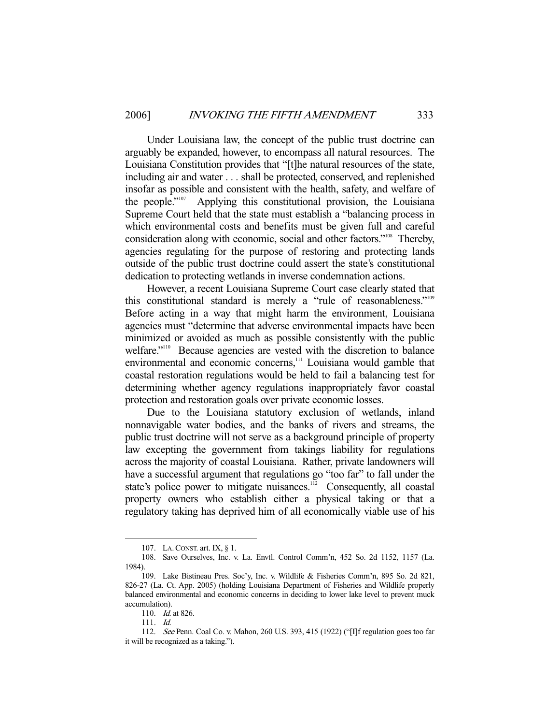Under Louisiana law, the concept of the public trust doctrine can arguably be expanded, however, to encompass all natural resources. The Louisiana Constitution provides that "[t]he natural resources of the state, including air and water . . . shall be protected, conserved, and replenished insofar as possible and consistent with the health, safety, and welfare of the people."107 Applying this constitutional provision, the Louisiana Supreme Court held that the state must establish a "balancing process in which environmental costs and benefits must be given full and careful consideration along with economic, social and other factors."108 Thereby, agencies regulating for the purpose of restoring and protecting lands outside of the public trust doctrine could assert the state's constitutional dedication to protecting wetlands in inverse condemnation actions.

 However, a recent Louisiana Supreme Court case clearly stated that this constitutional standard is merely a "rule of reasonableness."109 Before acting in a way that might harm the environment, Louisiana agencies must "determine that adverse environmental impacts have been minimized or avoided as much as possible consistently with the public welfare."<sup>110</sup> Because agencies are vested with the discretion to balance environmental and economic concerns,<sup>111</sup> Louisiana would gamble that coastal restoration regulations would be held to fail a balancing test for determining whether agency regulations inappropriately favor coastal protection and restoration goals over private economic losses.

 Due to the Louisiana statutory exclusion of wetlands, inland nonnavigable water bodies, and the banks of rivers and streams, the public trust doctrine will not serve as a background principle of property law excepting the government from takings liability for regulations across the majority of coastal Louisiana. Rather, private landowners will have a successful argument that regulations go "too far" to fall under the state's police power to mitigate nuisances.<sup>112</sup> Consequently, all coastal property owners who establish either a physical taking or that a regulatory taking has deprived him of all economically viable use of his

 <sup>107.</sup> LA.CONST. art. IX, § 1.

 <sup>108.</sup> Save Ourselves, Inc. v. La. Envtl. Control Comm'n, 452 So. 2d 1152, 1157 (La. 1984).

 <sup>109.</sup> Lake Bistineau Pres. Soc'y, Inc. v. Wildlife & Fisheries Comm'n, 895 So. 2d 821, 826-27 (La. Ct. App. 2005) (holding Louisiana Department of Fisheries and Wildlife properly balanced environmental and economic concerns in deciding to lower lake level to prevent muck accumulation).

<sup>110.</sup> *Id.* at 826.

 <sup>111.</sup> Id.

 <sup>112.</sup> See Penn. Coal Co. v. Mahon, 260 U.S. 393, 415 (1922) ("[I]f regulation goes too far it will be recognized as a taking.").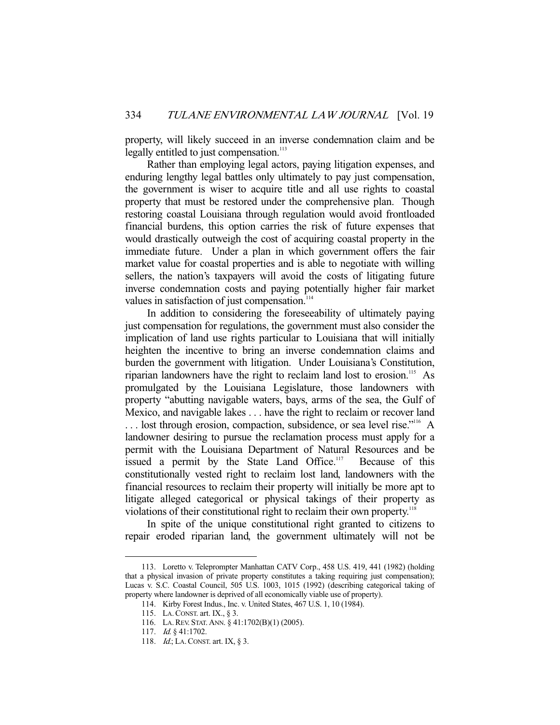property, will likely succeed in an inverse condemnation claim and be legally entitled to just compensation.<sup>113</sup>

 Rather than employing legal actors, paying litigation expenses, and enduring lengthy legal battles only ultimately to pay just compensation, the government is wiser to acquire title and all use rights to coastal property that must be restored under the comprehensive plan. Though restoring coastal Louisiana through regulation would avoid frontloaded financial burdens, this option carries the risk of future expenses that would drastically outweigh the cost of acquiring coastal property in the immediate future. Under a plan in which government offers the fair market value for coastal properties and is able to negotiate with willing sellers, the nation's taxpayers will avoid the costs of litigating future inverse condemnation costs and paying potentially higher fair market values in satisfaction of just compensation.<sup>114</sup>

 In addition to considering the foreseeability of ultimately paying just compensation for regulations, the government must also consider the implication of land use rights particular to Louisiana that will initially heighten the incentive to bring an inverse condemnation claims and burden the government with litigation. Under Louisiana's Constitution, riparian landowners have the right to reclaim land lost to erosion.<sup>115</sup> As promulgated by the Louisiana Legislature, those landowners with property "abutting navigable waters, bays, arms of the sea, the Gulf of Mexico, and navigable lakes . . . have the right to reclaim or recover land ... lost through erosion, compaction, subsidence, or sea level rise."<sup>116</sup> A landowner desiring to pursue the reclamation process must apply for a permit with the Louisiana Department of Natural Resources and be issued a permit by the State Land Office.<sup>117</sup> Because of this constitutionally vested right to reclaim lost land, landowners with the financial resources to reclaim their property will initially be more apt to litigate alleged categorical or physical takings of their property as violations of their constitutional right to reclaim their own property.118

 In spite of the unique constitutional right granted to citizens to repair eroded riparian land, the government ultimately will not be

 <sup>113.</sup> Loretto v. Teleprompter Manhattan CATV Corp., 458 U.S. 419, 441 (1982) (holding that a physical invasion of private property constitutes a taking requiring just compensation); Lucas v. S.C. Coastal Council, 505 U.S. 1003, 1015 (1992) (describing categorical taking of property where landowner is deprived of all economically viable use of property).

 <sup>114.</sup> Kirby Forest Indus., Inc. v. United States, 467 U.S. 1, 10 (1984).

 <sup>115.</sup> LA.CONST. art. IX., § 3.

 <sup>116.</sup> LA.REV. STAT. ANN. § 41:1702(B)(1) (2005).

<sup>117.</sup> *Id.* § 41:1702.

<sup>118.</sup> *Id.*; LA. CONST. art. IX, § 3.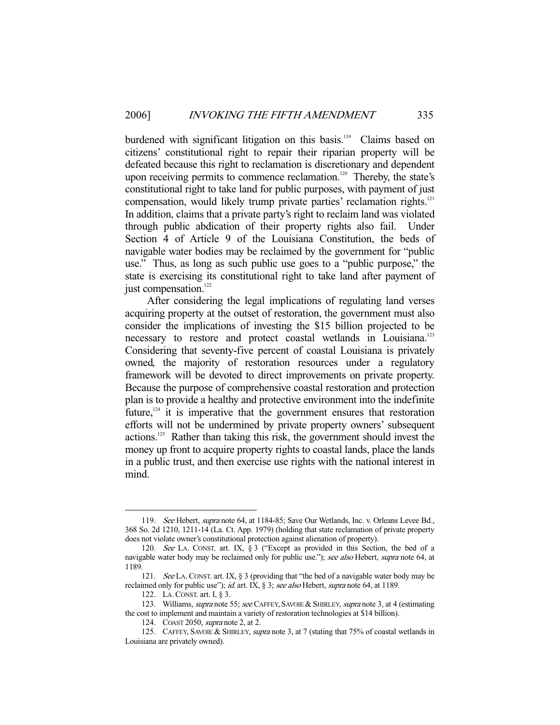burdened with significant litigation on this basis.<sup>119</sup> Claims based on citizens' constitutional right to repair their riparian property will be defeated because this right to reclamation is discretionary and dependent upon receiving permits to commence reclamation.<sup>120</sup> Thereby, the state's constitutional right to take land for public purposes, with payment of just compensation, would likely trump private parties' reclamation rights.<sup>121</sup> In addition, claims that a private party's right to reclaim land was violated through public abdication of their property rights also fail. Under Section 4 of Article 9 of the Louisiana Constitution, the beds of navigable water bodies may be reclaimed by the government for "public use." Thus, as long as such public use goes to a "public purpose," the state is exercising its constitutional right to take land after payment of just compensation.<sup>122</sup>

 After considering the legal implications of regulating land verses acquiring property at the outset of restoration, the government must also consider the implications of investing the \$15 billion projected to be necessary to restore and protect coastal wetlands in Louisiana.<sup>123</sup> Considering that seventy-five percent of coastal Louisiana is privately owned, the majority of restoration resources under a regulatory framework will be devoted to direct improvements on private property. Because the purpose of comprehensive coastal restoration and protection plan is to provide a healthy and protective environment into the indefinite future, $124$  it is imperative that the government ensures that restoration efforts will not be undermined by private property owners' subsequent actions.125 Rather than taking this risk, the government should invest the money up front to acquire property rights to coastal lands, place the lands in a public trust, and then exercise use rights with the national interest in mind.

<sup>119.</sup> See Hebert, supra note 64, at 1184-85; Save Our Wetlands, Inc. v. Orleans Levee Bd., 368 So. 2d 1210, 1211-14 (La. Ct. App. 1979) (holding that state reclamation of private property does not violate owner's constitutional protection against alienation of property).

 <sup>120.</sup> See LA. CONST. art. IX, § 3 ("Except as provided in this Section, the bed of a navigable water body may be reclaimed only for public use."); see also Hebert, supra note 64, at 1189.

<sup>121.</sup> See LA. CONST. art. IX, § 3 (providing that "the bed of a navigable water body may be reclaimed only for public use"); id. art. IX, § 3; see also Hebert, supra note 64, at 1189.

 <sup>122.</sup> LA.CONST. art. I, § 3.

<sup>123.</sup> Williams, *supra* note 55; see CAFFEY, SAVOIE & SHIRLEY, *supra* note 3, at 4 (estimating the cost to implement and maintain a variety of restoration technologies at \$14 billion).

 <sup>124.</sup> COAST 2050, supra note 2, at 2.

<sup>125.</sup> CAFFEY, SAVOIE & SHIRLEY, supra note 3, at 7 (stating that 75% of coastal wetlands in Louisiana are privately owned).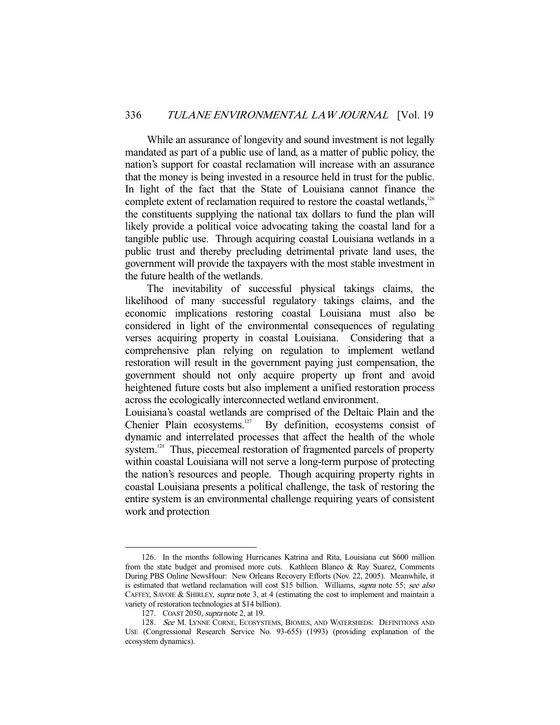While an assurance of longevity and sound investment is not legally mandated as part of a public use of land, as a matter of public policy, the nation's support for coastal reclamation will increase with an assurance that the money is being invested in a resource held in trust for the public. In light of the fact that the State of Louisiana cannot finance the complete extent of reclamation required to restore the coastal wetlands,<sup>126</sup> the constituents supplying the national tax dollars to fund the plan will likely provide a political voice advocating taking the coastal land for a tangible public use. Through acquiring coastal Louisiana wetlands in a public trust and thereby precluding detrimental private land uses, the government will provide the taxpayers with the most stable investment in the future health of the wetlands.

 The inevitability of successful physical takings claims, the likelihood of many successful regulatory takings claims, and the economic implications restoring coastal Louisiana must also be considered in light of the environmental consequences of regulating verses acquiring property in coastal Louisiana. Considering that a comprehensive plan relying on regulation to implement wetland restoration will result in the government paying just compensation, the government should not only acquire property up front and avoid heightened future costs but also implement a unified restoration process across the ecologically interconnected wetland environment.

Louisiana's coastal wetlands are comprised of the Deltaic Plain and the Chenier Plain ecosystems.127 By definition, ecosystems consist of dynamic and interrelated processes that affect the health of the whole system.<sup>128</sup> Thus, piecemeal restoration of fragmented parcels of property within coastal Louisiana will not serve a long-term purpose of protecting the nation's resources and people. Though acquiring property rights in coastal Louisiana presents a political challenge, the task of restoring the entire system is an environmental challenge requiring years of consistent work and protection

 <sup>126.</sup> In the months following Hurricanes Katrina and Rita, Louisiana cut \$600 million from the state budget and promised more cuts. Kathleen Blanco & Ray Suarez, Comments During PBS Online NewsHour: New Orleans Recovery Efforts (Nov. 22, 2005). Meanwhile, it is estimated that wetland reclamation will cost \$15 billion. Williams, *supra* note 55; see also CAFFEY, SAVOIE & SHIRLEY, *supra* note 3, at 4 (estimating the cost to implement and maintain a variety of restoration technologies at \$14 billion).

 <sup>127.</sup> COAST 2050, supra note 2, at 19.

<sup>128.</sup> See M. LYNNE CORNE, ECOSYSTEMS, BIOMES, AND WATERSHEDS: DEFINITIONS AND USE (Congressional Research Service No. 93-655) (1993) (providing explanation of the ecosystem dynamics).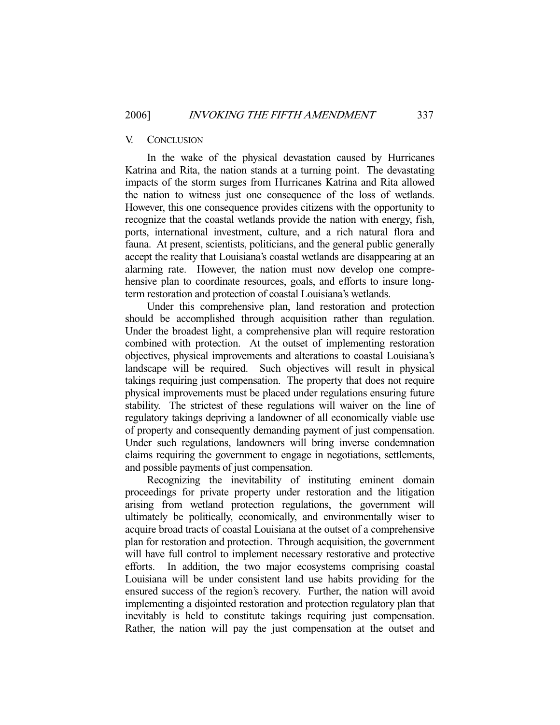#### V. CONCLUSION

 In the wake of the physical devastation caused by Hurricanes Katrina and Rita, the nation stands at a turning point. The devastating impacts of the storm surges from Hurricanes Katrina and Rita allowed the nation to witness just one consequence of the loss of wetlands. However, this one consequence provides citizens with the opportunity to recognize that the coastal wetlands provide the nation with energy, fish, ports, international investment, culture, and a rich natural flora and fauna. At present, scientists, politicians, and the general public generally accept the reality that Louisiana's coastal wetlands are disappearing at an alarming rate. However, the nation must now develop one comprehensive plan to coordinate resources, goals, and efforts to insure longterm restoration and protection of coastal Louisiana's wetlands.

 Under this comprehensive plan, land restoration and protection should be accomplished through acquisition rather than regulation. Under the broadest light, a comprehensive plan will require restoration combined with protection. At the outset of implementing restoration objectives, physical improvements and alterations to coastal Louisiana's landscape will be required. Such objectives will result in physical takings requiring just compensation. The property that does not require physical improvements must be placed under regulations ensuring future stability. The strictest of these regulations will waiver on the line of regulatory takings depriving a landowner of all economically viable use of property and consequently demanding payment of just compensation. Under such regulations, landowners will bring inverse condemnation claims requiring the government to engage in negotiations, settlements, and possible payments of just compensation.

 Recognizing the inevitability of instituting eminent domain proceedings for private property under restoration and the litigation arising from wetland protection regulations, the government will ultimately be politically, economically, and environmentally wiser to acquire broad tracts of coastal Louisiana at the outset of a comprehensive plan for restoration and protection. Through acquisition, the government will have full control to implement necessary restorative and protective efforts. In addition, the two major ecosystems comprising coastal Louisiana will be under consistent land use habits providing for the ensured success of the region's recovery. Further, the nation will avoid implementing a disjointed restoration and protection regulatory plan that inevitably is held to constitute takings requiring just compensation. Rather, the nation will pay the just compensation at the outset and